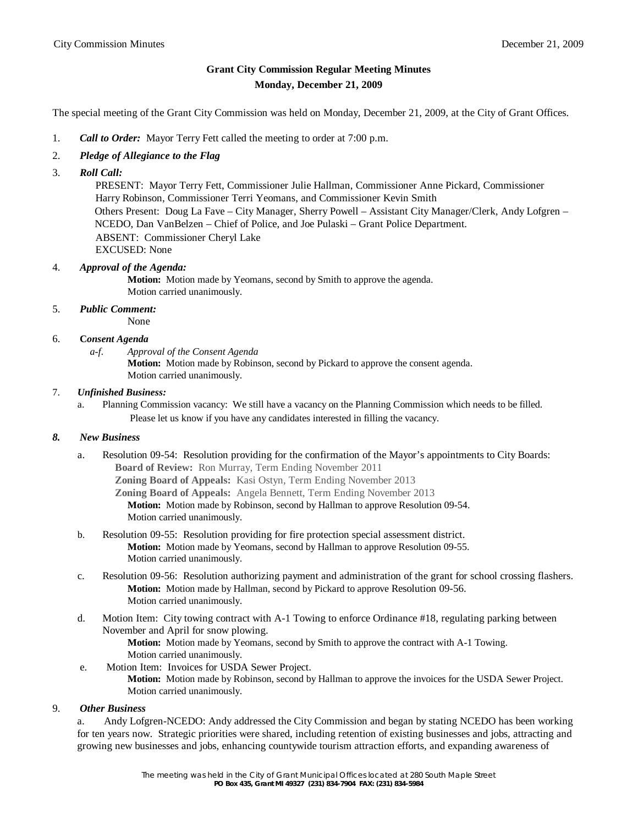# **Grant City Commission Regular Meeting Minutes Monday, December 21, 2009**

The special meeting of the Grant City Commission was held on Monday, December 21, 2009, at the City of Grant Offices.

- 1. *Call to Order:* Mayor Terry Fett called the meeting to order at 7:00 p.m.
- 2. *Pledge of Allegiance to the Flag*
- 3. *Roll Call:*

 PRESENT: Mayor Terry Fett, Commissioner Julie Hallman, Commissioner Anne Pickard, Commissioner Harry Robinson, Commissioner Terri Yeomans, and Commissioner Kevin Smith Others Present: Doug La Fave – City Manager, Sherry Powell – Assistant City Manager/Clerk, Andy Lofgren – NCEDO, Dan VanBelzen – Chief of Police, and Joe Pulaski – Grant Police Department. ABSENT: Commissioner Cheryl Lake EXCUSED: None

### 4. *Approval of the Agenda:*

**Motion:** Motion made by Yeomans, second by Smith to approve the agenda. Motion carried unanimously.

## 5. *Public Comment:*

None

#### 6. **C***onsent Agenda*

*a-f. Approval of the Consent Agenda* **Motion:** Motion made by Robinson, second by Pickard to approve the consent agenda. Motion carried unanimously.

#### 7. *Unfinished Business:*

a. Planning Commission vacancy: We still have a vacancy on the Planning Commission which needs to be filled. Please let us know if you have any candidates interested in filling the vacancy.

#### *8. New Business*

a. Resolution 09-54: Resolution providing for the confirmation of the Mayor's appointments to City Boards: **Board of Review:** Ron Murray, Term Ending November 2011 **Zoning Board of Appeals:** Kasi Ostyn, Term Ending November 2013 **Zoning Board of Appeals:** Angela Bennett, Term Ending November 2013 **Motion:** Motion made by Robinson, second by Hallman to approve Resolution 09-54.

Motion carried unanimously.

- b. Resolution 09-55: Resolution providing for fire protection special assessment district. **Motion:** Motion made by Yeomans, second by Hallman to approve Resolution 09-55. Motion carried unanimously.
- c. Resolution 09-56: Resolution authorizing payment and administration of the grant for school crossing flashers. **Motion:** Motion made by Hallman, second by Pickard to approve Resolution 09-56. Motion carried unanimously.
- d. Motion Item: City towing contract with A-1 Towing to enforce Ordinance #18, regulating parking between November and April for snow plowing.

**Motion:** Motion made by Yeomans, second by Smith to approve the contract with A-1 Towing. Motion carried unanimously.

 e. Motion Item: Invoices for USDA Sewer Project. **Motion:** Motion made by Robinson, second by Hallman to approve the invoices for the USDA Sewer Project. Motion carried unanimously.

#### 9. *Other Business*

a. Andy Lofgren-NCEDO: Andy addressed the City Commission and began by stating NCEDO has been working for ten years now. Strategic priorities were shared, including retention of existing businesses and jobs, attracting and growing new businesses and jobs, enhancing countywide tourism attraction efforts, and expanding awareness of